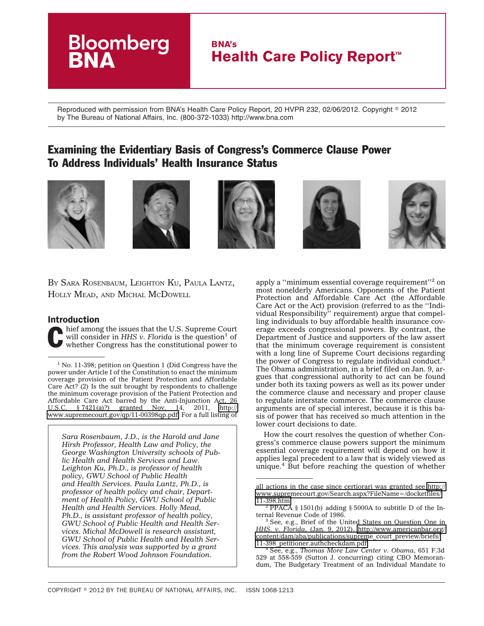# **BNA's Health Care Policy Report™**

Reproduced with permission from BNA's Health Care Policy Report, 20 HVPR 232, 02/06/2012. Copyright @ 2012 by The Bureau of National Affairs, Inc. (800-372-1033) http://www.bna.com

# Examining the Evidentiary Basis of Congress's Commerce Clause Power To Address Individuals' Health Insurance Status











BY SARA ROSENBAUM, LEIGHTON KU, PAULA LANTZ, HOLLY MEAD, AND MICHAL MCDOWELL

**Bloomberg** 

### Introduction

hief among the issues that the U.S. Supreme Court will consider in *HHS v. Florida* is the question<sup>1</sup> of whether Congress has the constitutional power to

<sup>1</sup> No. 11-398; petition on Question 1 (Did Congress have the power under Article I of the Constitution to enact the minimum coverage provision of the Patient Protection and Affordable Care Act? (2) Is the suit brought by respondents to challenge the minimum coverage provision of the Patient Protection and Affordable Care Act barred by the Anti-Injunction Act, 26 U.S.C. § 7421(a)?) granted Nov. 14, 2011, [http://](http://www.supremecourt.gov/qp/11-00398qp.pdf) [www.supremecourt.gov/qp/11-00398qp.pdf.](http://www.supremecourt.gov/qp/11-00398qp.pdf) For a full listing of

*Sara Rosenbaum, J.D., is the Harold and Jane Hirsh Professor, Health Law and Policy, the George Washington University schools of Public Health and Health Services and Law. Leighton Ku, Ph.D., is professor of health policy, GWU School of Public Health and Health Services. Paula Lantz, Ph.D., is professor of health policy and chair, Department of Health Policy, GWU School of Public Health and Health Services. Holly Mead, Ph.D., is assistant professor of health policy, GWU School of Public Health and Health Services. Michal McDowell is research assistant, GWU School of Public Health and Health Services. This analysis was supported by a grant from the Robert Wood Johnson Foundation.*

apply a ''minimum essential coverage requirement''2 on most nonelderly Americans. Opponents of the Patient Protection and Affordable Care Act (the Affordable Care Act or the Act) provision (referred to as the ''Individual Responsibility" requirement) argue that compelling individuals to buy affordable health insurance coverage exceeds congressional powers. By contrast, the Department of Justice and supporters of the law assert that the minimum coverage requirement is consistent with a long line of Supreme Court decisions regarding the power of Congress to regulate individual conduct.<sup>3</sup> The Obama administration, in a brief filed on Jan. 9, argues that congressional authority to act can be found under both its taxing powers as well as its power under the commerce clause and necessary and proper clause to regulate interstate commerce. The commerce clause arguments are of special interest, because it is this basis of power that has received so much attention in the lower court decisions to date.

How the court resolves the question of whether Congress's commerce clause powers support the minimum essential coverage requirement will depend on how it applies legal precedent to a law that is widely viewed as unique.<sup>4</sup> But before reaching the question of whether

[11-398\\_petitioner.authcheckdam.pdf.](http://www.americanbar.org/content/dam/aba/publications/supreme_court_preview/briefs/11-398_petitioner.authcheckdam.pdf) <sup>4</sup> See, e.g., *Thomas More Law Center v. Obama*, 651 F.3d 529 at 558-559 (Sutton J. concurring) citing CBO Memorandum, The Budgetary Treatment of an Individual Mandate to

all actions in the case since certiorari was granted see [http://](http://www.supremecourt.gov/Search.aspx?FileName=/docketfiles/11-398.htm) [www.supremecourt.gov/Search.aspx?FileName=/docketfiles/](http://www.supremecourt.gov/Search.aspx?FileName=/docketfiles/11-398.htm)

 $^2$  PPACA § 1501(b) adding § 5000A to subtitle D of the In-

ternal Revenue Code of 1986.<br><sup>3</sup> See, e.g., Brief of the United States on Question One in *HHS. v. Florida*, (Jan. 9, 2012). [http://www.americanbar.org/](http://www.americanbar.org/content/dam/aba/publications/supreme_court_preview/briefs/11-398_petitioner.authcheckdam.pdf) [content/dam/aba/publications/supreme\\_court\\_preview/briefs/](http://www.americanbar.org/content/dam/aba/publications/supreme_court_preview/briefs/11-398_petitioner.authcheckdam.pdf)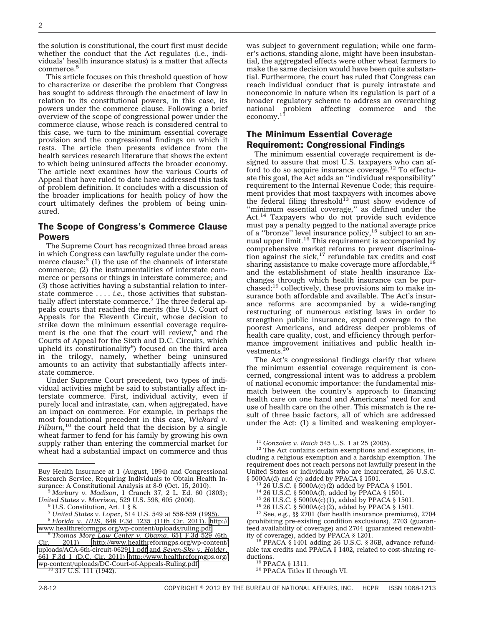the solution is constitutional, the court first must decide whether the conduct that the Act regulates (i.e., individuals' health insurance status) is a matter that affects commerce.<sup>5</sup>

This article focuses on this threshold question of how to characterize or describe the problem that Congress has sought to address through the enactment of law in relation to its constitutional powers, in this case, its powers under the commerce clause. Following a brief overview of the scope of congressional power under the commerce clause, whose reach is considered central to this case, we turn to the minimum essential coverage provision and the congressional findings on which it rests. The article then presents evidence from the health services research literature that shows the extent to which being uninsured affects the broader economy. The article next examines how the various Courts of Appeal that have ruled to date have addressed this task of problem definition. It concludes with a discussion of the broader implications for health policy of how the court ultimately defines the problem of being uninsured.

### The Scope of Congress's Commerce Clause Powers

The Supreme Court has recognized three broad areas in which Congress can lawfully regulate under the commerce clause: $6$  (1) the use of the channels of interstate commerce; (2) the instrumentalities of interstate commerce or persons or things in interstate commerce; and (3) those activities having a substantial relation to interstate commerce .... *i.e.*, those activities that substantially affect interstate commerce.<sup>7</sup> The three federal appeals courts that reached the merits (the U.S. Court of Appeals for the Eleventh Circuit, whose decision to strike down the minimum essential coverage requirement is the one that the court will review, $8$  and the Courts of Appeal for the Sixth and D.C. Circuits, which upheld its constitutionality<sup>9</sup>) focused on the third area in the trilogy, namely, whether being uninsured amounts to an activity that substantially affects interstate commerce.

Under Supreme Court precedent, two types of individual activities might be said to substantially affect interstate commerce. First, individual activity, even if purely local and intrastate, can, when aggregated, have an impact on commerce. For example, in perhaps the most foundational precedent in this case, *Wickard v. Filburn*,<sup>10</sup> the court held that the decision by a single wheat farmer to fend for his family by growing his own supply rather than entering the commercial market for wheat had a substantial impact on commerce and thus

was subject to government regulation; while one farmer's actions, standing alone, might have been insubstantial, the aggregated effects were other wheat farmers to make the same decision would have been quite substantial. Furthermore, the court has ruled that Congress can reach individual conduct that is purely intrastate and noneconomic in nature when its regulation is part of a broader regulatory scheme to address an overarching national problem affecting commerce and the<br>economy.<sup>11</sup>

# The Minimum Essential Coverage Requirement: Congressional Findings

The minimum essential coverage requirement is designed to assure that most U.S. taxpayers who can afford to do so acquire insurance coverage.12 To effectuate this goal, the Act adds an ''individual responsibility'' requirement to the Internal Revenue Code; this requirement provides that most taxpayers with incomes above<br>the federal filing threshold<sup>13</sup> must show evidence of ''minimum essential coverage,'' as defined under the Act.<sup>14</sup> Taxpayers who do not provide such evidence must pay a penalty pegged to the national average price of a ''bronze'' level insurance policy,15 subject to an annual upper limit.<sup>16</sup> This requirement is accompanied by comprehensive market reforms to prevent discrimination against the sick,<sup>17</sup> refundable tax credits and cost sharing assistance to make coverage more affordable,<sup>18</sup> and the establishment of state health insurance Exchanges through which health insurance can be purchased;19 collectively, these provisions aim to make insurance both affordable and available. The Act's insurance reforms are accompanied by a wide-ranging restructuring of numerous existing laws in order to strengthen public insurance, expand coverage to the poorest Americans, and address deeper problems of health care quality, cost, and efficiency through performance improvement initiatives and public health investments. $^{2}$ 

The Act's congressional findings clarify that where the minimum essential coverage requirement is concerned, congressional intent was to address a problem of national economic importance: the fundamental mismatch between the country's approach to financing health care on one hand and Americans' need for and use of health care on the other. This mismatch is the result of three basic factors, all of which are addressed under the Act: (1) a limited and weakening employer-

<sup>19</sup> PPACA § 1311.<br><sup>20</sup> PPACA Titles II through VI.

Buy Health Insurance at 1 (August, 1994) and Congressional Research Service, Requiring Individuals to Obtain Health Insurance: A Constitutional Analysis at 8-9 (Oct. 15, 2010).

<sup>&</sup>lt;sup>5</sup> Marbury v. Madison, 1 Cranch 37, 2 L. Ed. 60 (1803); *United States v. Morrison*, 529 U.S. 598, 605 (2000). <sup>6</sup> U.S. Constitution, Art. 1 § 8.

<sup>7</sup> *United States v. Lopez*, 514 U.S. 549 at 558-559 (1995). <sup>8</sup> *Florida v. HHS*, 648 F.3d 1235 (11th Cir. 2011). [http://](http://www.healthreformgps.org/wp-content/uploads/ruling.pdf)

[www.healthreformgps.org/wp-content/uploads/ruling.pdf](http://www.healthreformgps.org/wp-content/uploads/ruling.pdf) <sup>9</sup> *Thomas More Law Center v. Obama*, 651 F.3d 529 (6th Cir. 2011) [http://www.healthreformgps.org/wp-content/](http://www.healthreformgps.org/wp-content/uploads/ACA-6th-circuit-062911.pdf) [uploads/ACA-6th-circuit-062911.pdf](http://www.healthreformgps.org/wp-content/uploads/ACA-6th-circuit-062911.pdf) and *Seven-Sky v. Holder*, 661 F.3d 1 (D.C. Cir. 2011) [http://www.healthreformgps.org/](http://www.healthreformgps.org/wp-content/uploads/DC-Court-of-Appeals-Ruling.pdf) [wp-content/uploads/DC-Court-of-Appeals-Ruling.pdf.](http://www.healthreformgps.org/wp-content/uploads/DC-Court-of-Appeals-Ruling.pdf) 10 317 U.S. 111 (1942).

<sup>&</sup>lt;sup>11</sup> Gonzalez v. Raich 545 U.S. 1 at 25 (2005). <sup>12</sup> The Act contains certain exemptions and exceptions, including a religious exemption and a hardship exemption. The requirement does not reach persons not lawfully present in the United States or individuals who are incarcerated, 26 U.S.C. § 5000A(d) and (e) added by PPACA § 1501.

<sup>&</sup>lt;sup>13</sup> 26 U.S.C. § 5000A(e)(2) added by PPACA § 1501.<br><sup>14</sup> 26 U.S.C. § 5000A(f), added by PPACA § 1501.<br><sup>15</sup> 26 U.S.C. § 5000A(c)(1), added by PPACA § 1501.<br><sup>16</sup> 26 U.S.C. § 5000A(c)(2), added by PPACA § 1501.<br><sup>17</sup> See, e.g (prohibiting pre-existing condition exclusions), 2703 (guaranteed availability of coverage) and 2704 (guaranteed renewability of coverage), added by PPACA § 1201.

<sup>&</sup>lt;sup>18</sup> PPACA § 1401 adding 26 U.S.C. § 36B, advance refundable tax credits and PPACA § 1402, related to cost-sharing re-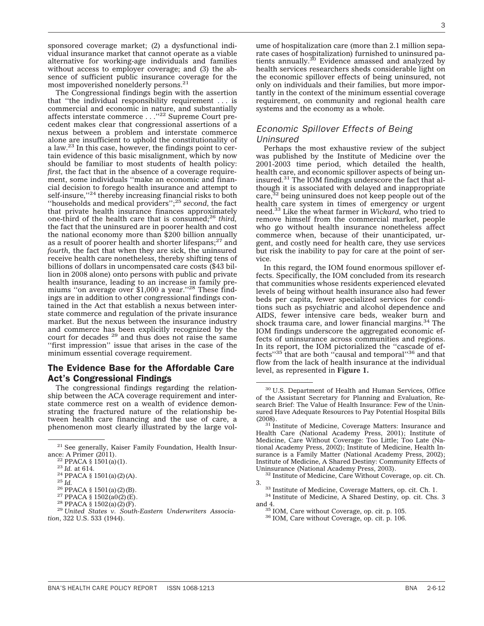sponsored coverage market; (2) a dysfunctional individual insurance market that cannot operate as a viable alternative for working-age individuals and families without access to employer coverage; and (3) the absence of sufficient public insurance coverage for the most impoverished nonelderly persons.21

The Congressional findings begin with the assertion that ''the individual responsibility requirement . . . is commercial and economic in nature, and substantially affects interstate commerce . . .''22 Supreme Court precedent makes clear that congressional assertions of a nexus between a problem and interstate commerce alone are insufficient to uphold the constitutionality of a law.23 In this case, however, the findings point to certain evidence of this basic misalignment, which by now should be familiar to most students of health policy: *first,* the fact that in the absence of a coverage requirement, some individuals ''make an economic and financial decision to forego health insurance and attempt to self-insure,"<sup>24</sup> thereby increasing financial risks to both ''households and medical providers'';25 *second,* the fact that private health insurance finances approximately one-third of the health care that is consumed;26 *third,* the fact that the uninsured are in poorer health and cost the national economy more than \$200 billion annually as a result of poorer health and shorter lifespans;<sup>27</sup> and *fourth,* the fact that when they are sick, the uninsured receive health care nonetheless, thereby shifting tens of billions of dollars in uncompensated care costs (\$43 billion in 2008 alone) onto persons with public and private health insurance, leading to an increase in family pre-<br>miums "on average over \$1,000 a year."<sup>28</sup> These findings are in addition to other congressional findings contained in the Act that establish a nexus between interstate commerce and regulation of the private insurance market. But the nexus between the insurance industry and commerce has been explicitly recognized by the court for decades <sup>29</sup> and thus does not raise the same ''first impression'' issue that arises in the case of the minimum essential coverage requirement.

## The Evidence Base for the Affordable Care Act's Congressional Findings

The congressional findings regarding the relationship between the ACA coverage requirement and interstate commerce rest on a wealth of evidence demonstrating the fractured nature of the relationship between health care financing and the use of care, a phenomenon most clearly illustrated by the large vol-

ume of hospitalization care (more than 2.1 million separate cases of hospitalization) furnished to uninsured patients annually. $30$  Evidence amassed and analyzed by health services researchers sheds considerable light on the economic spillover effects of being uninsured, not only on individuals and their families, but more importantly in the context of the minimum essential coverage requirement, on community and regional health care systems and the economy as a whole.

# Economic Spillover Effects of Being Uninsured

Perhaps the most exhaustive review of the subject was published by the Institute of Medicine over the 2001-2003 time period, which detailed the health, health care, and economic spillover aspects of being uninsured.31 The IOM findings underscore the fact that although it is associated with delayed and inappropriate care,  $32$  being uninsured does not keep people out of the health care system in times of emergency or urgent need.33 Like the wheat farmer in *Wickard,* who tried to remove himself from the commercial market, people who go without health insurance nonetheless affect commerce when, because of their unanticipated, urgent, and costly need for health care, they use services but risk the inability to pay for care at the point of service.

In this regard, the IOM found enormous spillover effects. Specifically, the IOM concluded from its research that communities whose residents experienced elevated levels of being without health insurance also had fewer beds per capita, fewer specialized services for conditions such as psychiatric and alcohol dependence and AIDS, fewer intensive care beds, weaker burn and shock trauma care, and lower financial margins. $34$  The IOM findings underscore the aggregated economic effects of uninsurance across communities and regions. In its report, the IOM pictorialized the "cascade of effects"<sup>35</sup> that are both "causal and temporal"<sup>36</sup> and that flow from the lack of health insurance at the individual level, as represented in **Figure 1.**

<sup>&</sup>lt;sup>21</sup> See generally, Kaiser Family Foundation, Health Insurance: A Primer  $(2011)$ .

<sup>&</sup>lt;sup>22</sup> PPACA § 1501(a)(1).<br>
<sup>23</sup> Id. at 614.<br>
<sup>24</sup> PPACA § 1501(a)(2)(A).<br>
<sup>25</sup> Id.<br>
<sup>26</sup> PPACA § 1501(a)(2)(B).<br>
<sup>27</sup> PPACA § 1502(a0(2)(E).<br>
<sup>27</sup> PPACA § 1502(a0(2)(E).<br>
<sup>28</sup> PPACA § 1502(a)(2)(F).<br>
<sup>29</sup> United States v. *tion*, 322 U.S. 533 (1944).

<sup>30</sup> U.S. Department of Health and Human Services, Office of the Assistant Secretary for Planning and Evaluation, Research Brief: The Value of Health Insurance: Few of the Uninsured Have Adequate Resources to Pay Potential Hospital Bills<br>(2008).

<sup>&</sup>lt;sup>31</sup> Institute of Medicine, Coverage Matters: Insurance and Health Care (National Academy Press, 2001); Institute of Medicine, Care Without Coverage: Too Little; Too Late (National Academy Press, 2002); Institute of Medicine, Health Insurance is a Family Matter (National Academy Press, 2002); Institute of Medicine, A Shared Destiny: Community Effects of

<sup>&</sup>lt;sup>32</sup> Institute of Medicine, Care Without Coverage, op. cit. Ch. 3. <sup>33</sup> Institute of Medicine, Coverage Matters, op. cit. Ch. 1. <sup>34</sup> Institute of Medicine, A Shared Destiny, op. cit. Chs. 3

and 4.  $35$  IOM, Care without Coverage, op. cit. p. 105.  $36$  IOM, Care without Coverage, op. cit. p. 106.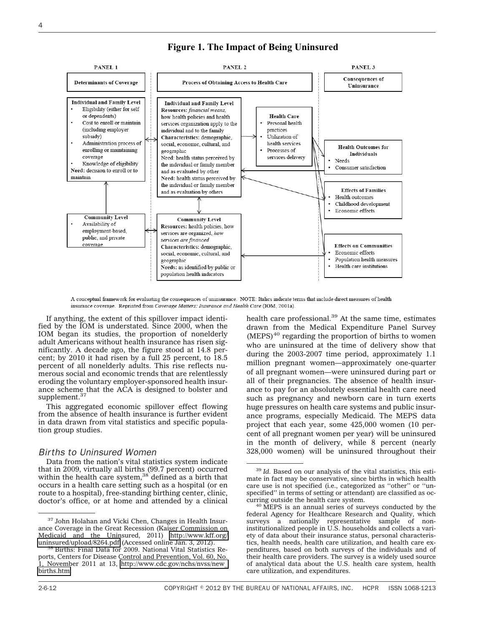



A conceptual framework for evaluating the consequences of uninsurance. NOTE: Italics indicate terms that include direct measures of health insurance coverage. Reprinted from Coverage Matters: Insurance and Health Care (IOM, 2001a).

If anything, the extent of this spillover impact identified by the IOM is understated. Since 2000, when the IOM began its studies, the proportion of nonelderly adult Americans without health insurance has risen significantly. A decade ago, the figure stood at 14.8 percent; by 2010 it had risen by a full 25 percent, to 18.5 percent of all nonelderly adults. This rise reflects numerous social and economic trends that are relentlessly eroding the voluntary employer-sponsored health insurance scheme that the ACA is designed to bolster and supplement.<sup>37</sup>

This aggregated economic spillover effect flowing from the absence of health insurance is further evident in data drawn from vital statistics and specific population group studies.

#### Births to Uninsured Women

Data from the nation's vital statistics system indicate that in 2009, virtually all births (99.7 percent) occurred within the health care system,<sup>38</sup> defined as a birth that occurs in a health care setting such as a hospital (or en route to a hospital), free-standing birthing center, clinic, doctor's office, or at home and attended by a clinical

health care professional.<sup>39</sup> At the same time, estimates drawn from the Medical Expenditure Panel Survey  $(MEPS)^{40}$  regarding the proportion of births to women who are uninsured at the time of delivery show that during the 2003-2007 time period, approximately 1.1 million pregnant women—approximately one-quarter of all pregnant women—were uninsured during part or all of their pregnancies. The absence of health insurance to pay for an absolutely essential health care need such as pregnancy and newborn care in turn exerts huge pressures on health care systems and public insurance programs, especially Medicaid. The MEPS data project that each year, some 425,000 women (10 percent of all pregnant women per year) will be uninsured in the month of delivery, while 8 percent (nearly 328,000 women) will be uninsured throughout their

<sup>37</sup> John Holahan and Vicki Chen, Changes in Health Insurance Coverage in the Great Recession (Kaiser Commission on Medicaid and the Uninsured, 2011) [http://www.kff.org/](http://www.kff.org/uninsured/upload/8264.pdf)<br>uninsured/upload/8264.pdf (Accessed online Jan. 3, 2012).

<sup>&</sup>lt;sup>38</sup> Births: Final Data for 2009. National Vital Statistics Reports, Centers for Disease Control and Prevention, Vol. 60, No. 1, November 2011 at 13, [http://www.cdc.gov/nchs/nvss/new\\_](http://www.cdc.gov/nchs/nvss/new_births.htm) [births.htm.](http://www.cdc.gov/nchs/nvss/new_births.htm)

<sup>39</sup> *Id.* Based on our analysis of the vital statistics, this estimate in fact may be conservative, since births in which health care use is not specified (i.e., categorized as ''other'' or ''unspecified'' in terms of setting or attendant) are classified as oc-

 $40$  MEPS is an annual series of surveys conducted by the federal Agency for Healthcare Research and Quality, which surveys a nationally representative sample of noninstitutionalized people in U.S. households and collects a variety of data about their insurance status, personal characteristics, health needs, health care utilization, and health care expenditures, based on both surveys of the individuals and of their health care providers. The survey is a widely used source of analytical data about the U.S. health care system, health care utilization, and expenditures.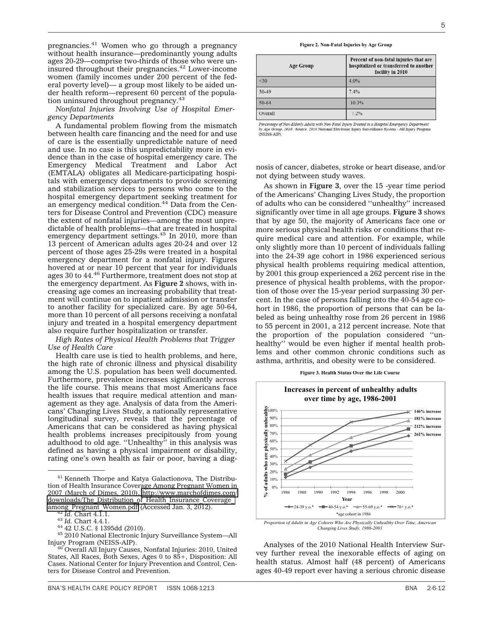pregnancies.41 Women who go through a pregnancy without health insurance—predominantly young adults ages 20-29—comprise two-thirds of those who were uninsured throughout their pregnancies.<sup>42</sup> Lower-income women (family incomes under 200 percent of the federal poverty level)— a group most likely to be aided under health reform—represent 60 percent of the population uninsured throughout pregnancy.<sup>43</sup>

*Nonfatal Injuries Involving Use of Hospital Emergency Departments*

A fundamental problem flowing from the mismatch between health care financing and the need for and use of care is the essentially unpredictable nature of need and use. In no case is this unpredictability more in evidence than in the case of hospital emergency care. The Emergency Medical Treatment and Labor Act (EMTALA) obligates all Medicare-participating hospitals with emergency departments to provide screening and stabilization services to persons who come to the hospital emergency department seeking treatment for an emergency medical condition.44 Data from the Centers for Disease Control and Prevention (CDC) measure the extent of nonfatal injuries—among the most unpredictable of health problems—that are treated in hospital emergency department settings.<sup>45</sup> In 2010, more than 13 percent of American adults ages 20-24 and over 12 percent of those ages 25-29s were treated in a hospital emergency department for a nonfatal injury. Figures hovered at or near 10 percent that year for individuals ages 30 to 44.46 Furthermore, treatment does not stop at the emergency department. As **Figure 2** shows, with increasing age comes an increasing probability that treatment will continue on to inpatient admission or transfer to another facility for specialized care. By age 50-64, more than 10 percent of all persons receiving a nonfatal injury and treated in a hospital emergency department also require further hospitalization or transfer.

*High Rates of Physical Health Problems that Trigger Use of Health Care*

Health care use is tied to health problems, and here, the high rate of chronic illness and physical disability among the U.S. population has been well documented. Furthermore, prevalence increases significantly across the life course. This means that most Americans face health issues that require medical attention and management as they age. Analysis of data from the Americans' Changing Lives Study, a nationally representative longitudinal survey, reveals that the percentage of Americans that can be considered as having physical health problems increases precipitously from young adulthood to old age. ''Unhealthy'' in this analysis was defined as having a physical impairment or disability, rating one's own health as fair or poor, having a diag-

- 
- 
- <sup>42</sup> Id. Chart 4.1.1.<br><sup>43</sup> Id. Chart 4.4.1.<br><sup>44</sup> 42 U.S.C. § 1395dd (2010). 45 2010 National Electronic Injury Surveillance System—All<br>Injury Program (NEISS-AIP).

#### **Figure 2. !on-Fatal Injuries by Age Group**

| <b>Age Group</b> | Percent of non-fatal injuries that are<br>hospitalized or transferred to another<br>facility in 2010 |
|------------------|------------------------------------------------------------------------------------------------------|
| $30$             | 4.0%                                                                                                 |
| 30-49            | 7.4%                                                                                                 |
| 50-64            | 10.3%                                                                                                |
| Overall          | 7.2%                                                                                                 |

Percentage of Non-Elderly Adults with Non-Fatal Injury Treated in a Hospital Emergency Department *Fercentage of your-Liderty Adulus with You-Falat Injury Treated in a Hospital Emergency Department*<br>by Age Group, 2010. Source: 2010 National Electronic Injury Surveillance System - All Injury Program<br>(NEISS-AIP).

nosis of cancer, diabetes, stroke or heart disease, and/or not dying between study waves.

As shown in **Figure 3**, over the 15 -year time period of the Americans' Changing Lives Study, the proportion of adults who can be considered ''unhealthy'' increased significantly over time in all age groups. **Figure 3** shows that by age 50, the majority of Americans face one or more serious physical health risks or conditions that require medical care and attention. For example, while only slightly more than 10 percent of individuals falling into the 24-39 age cohort in 1986 experienced serious physical health problems requiring medical attention, by 2001 this group experienced a 262 percent rise in the presence of physical health problems, with the proportion of those over the 15-year period surpassing 30 percent. In the case of persons falling into the 40-54 age cohort in 1986, the proportion of persons that can be labeled as being unhealthy rose from 26 percent in 1986 to 55 percent in 2001, a 212 percent increase. Note that the proportion of the population considered ''unhealthy'' would be even higher if mental health problems and other common chronic conditions such as asthma, arthritis, and obesity were to be considered.





*Changing Lives Study, 1986-2001*

Analyses of the 2010 National Health Interview Survey further reveal the inexorable effects of aging on health status. Almost half (48 percent) of Americans ages 40-49 report ever having a serious chronic disease

<sup>41</sup> Kenneth Thorpe and Katya Galactionova, The Distribution of Health Insurance Coverage Among Pregnant Women in 2007 (March of Dimes, 2010), [http://www.marchofdimes.com/](http://www.marchofdimes.com/downloads/The_Distribution_of_Health_Insurance_Coverage_among_Pregnant_Women.pdf) [downloads/The\\_Distribution\\_of\\_Health\\_Insurance\\_Coverage\\_](http://www.marchofdimes.com/downloads/The_Distribution_of_Health_Insurance_Coverage_among_Pregnant_Women.pdf)<br>among\_Pregnant\_Women.pdf (Accessed Jan. 3, 2012).

 $^{46}$  Overall All Injury Causes, Nonfatal Injuries: 2010, United States, All Races, Both Sexes, Ages 0 to 85+, Disposition: All Cases. National Center for Injury Prevention and Control, Centers for Disease Control and Prevention.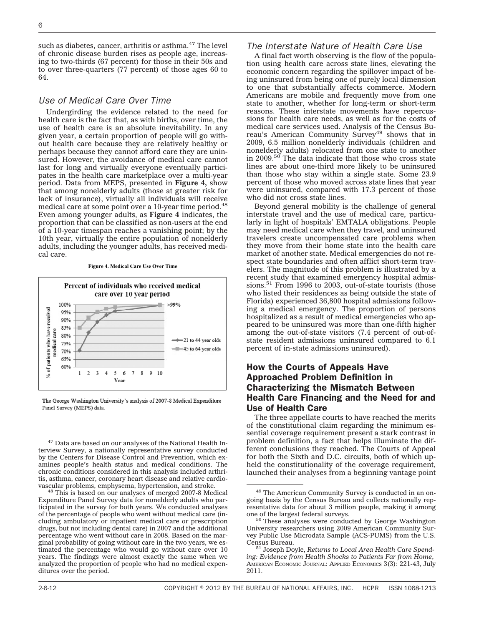such as diabetes, cancer, arthritis or asthma.<sup>47</sup> The level of chronic disease burden rises as people age, increasing to two-thirds (67 percent) for those in their 50s and to over three-quarters (77 percent) of those ages 60 to 64.

#### Use of Medical Care Over Time

Undergirding the evidence related to the need for health care is the fact that, as with births, over time, the use of health care is an absolute inevitability. In any given year, a certain proportion of people will go without health care because they are relatively healthy or perhaps because they cannot afford care they are uninsured. However, the avoidance of medical care cannot last for long and virtually everyone eventually participates in the health care marketplace over a multi-year period. Data from MEPS, presented in **Figure 4,** show that among nonelderly adults (those at greater risk for lack of insurance), virtually all individuals will receive medical care at some point over a 10-year time period.<sup>48</sup> Even among younger adults, as **Figure 4** indicates, the proportion that can be classified as non-users at the end of a 10-year timespan reaches a vanishing point; by the 10th year, virtually the entire population of nonelderly adults, including the younger adults, has received medical care.

#### **Figure 4. Medical Care Use Over Time**



The George Washington University's analysis of 2007-8 Medical Expenditure Panel Survey (MEPS) data.

# The Interstate Nature of Health Care Use

A final fact worth observing is the flow of the population using health care across state lines, elevating the economic concern regarding the spillover impact of being uninsured from being one of purely local dimension to one that substantially affects commerce. Modern Americans are mobile and frequently move from one state to another, whether for long-term or short-term reasons. These interstate movements have repercussions for health care needs, as well as for the costs of medical care services used. Analysis of the Census Bureau's American Community Survey<sup>49</sup> shows that in 2009, 6.5 million nonelderly individuals (children and nonelderly adults) relocated from one state to another in 2009.<sup>50</sup> The data indicate that those who cross state lines are about one-third more likely to be uninsured than those who stay within a single state. Some 23.9 percent of those who moved across state lines that year were uninsured, compared with 17.3 percent of those who did not cross state lines.

Beyond general mobility is the challenge of general interstate travel and the use of medical care, particularly in light of hospitals' EMTALA obligations. People may need medical care when they travel, and uninsured travelers create uncompensated care problems when they move from their home state into the health care market of another state. Medical emergencies do not respect state boundaries and often afflict short-term travelers. The magnitude of this problem is illustrated by a recent study that examined emergency hospital admissions.<sup>51</sup> From 1996 to 2003, out-of-state tourists (those who listed their residences as being outside the state of Florida) experienced 36,800 hospital admissions following a medical emergency. The proportion of persons hospitalized as a result of medical emergencies who appeared to be uninsured was more than one-fifth higher among the out-of-state visitors (7.4 percent of out-ofstate resident admissions uninsured compared to 6.1 percent of in-state admissions uninsured).

# How the Courts of Appeals Have Approached Problem Definition in Characterizing the Mismatch Between Health Care Financing and the Need for and Use of Health Care

The three appellate courts to have reached the merits of the constitutional claim regarding the minimum essential coverage requirement present a stark contrast in problem definition, a fact that helps illuminate the different conclusions they reached. The Courts of Appeal for both the Sixth and D.C. circuits, both of which upheld the constitutionality of the coverage requirement, launched their analyses from a beginning vantage point

 $^{47}$  Data are based on our analyses of the National Health Interview Survey, a nationally representative survey conducted by the Centers for Disease Control and Prevention, which examines people's health status and medical conditions. The chronic conditions considered in this analysis included arthritis, asthma, cancer, coronary heart disease and relative cardio-

<sup>&</sup>lt;sup>48</sup> This is based on our analyses of merged 2007-8 Medical Expenditure Panel Survey data for nonelderly adults who participated in the survey for both years. We conducted analyses of the percentage of people who went without medical care (including ambulatory or inpatient medical care or prescription drugs, but not including dental care) in 2007 and the additional percentage who went without care in 2008. Based on the marginal probability of going without care in the two years, we estimated the percentage who would go without care over 10 years. The findings were almost exactly the same when we analyzed the proportion of people who had no medical expenditures over the period.

<sup>49</sup> The American Community Survey is conducted in an ongoing basis by the Census Bureau and collects nationally representative data for about 3 million people, making it among one of the largest federal surveys. <sup>50</sup> These analyses were conducted by George Washington

University researchers using 2009 American Community Survey Public Use Microdata Sample (ACS-PUMS) from the U.S.

<sup>&</sup>lt;sup>51</sup> Joseph Doyle, *Returns to Local Area Health Care Spending: Evidence from Health Shocks to Patients Far from Home*, AMERICAN ECONOMIC JOURNAL: APPLIED ECONOMICS 3(3): 221-43, July 2011.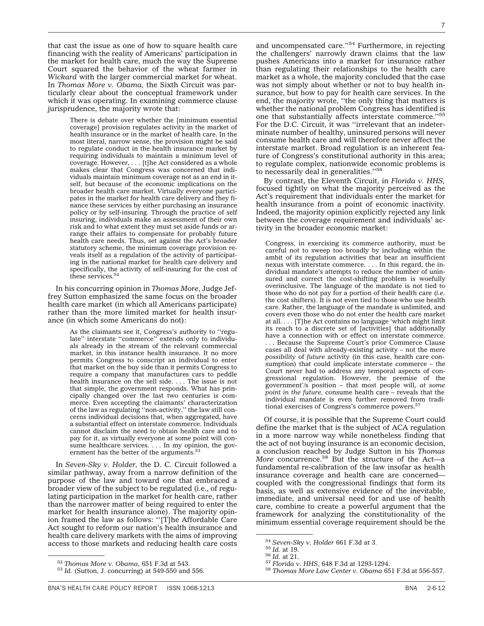that cast the issue as one of how to square health care financing with the reality of Americans' participation in the market for health care, much the way the Supreme Court squared the behavior of the wheat farmer in *Wickard* with the larger commercial market for wheat. In *Thomas More v. Obama,* the Sixth Circuit was particularly clear about the conceptual framework under which it was operating. In examining commerce clause jurisprudence, the majority wrote that:

> There is debate over whether the [minimum essential coverage] provision regulates activity in the market of health insurance or in the market of health care. In the most literal, narrow sense, the provision might be said to regulate conduct in the health insurance market by requiring individuals to maintain a minimum level of coverage. However, . . . [t]he Act considered as a whole makes clear that Congress was concerned that individuals maintain minimum coverage not as an end in itself, but because of the economic implications on the broader health care market. Virtually everyone participates in the market for health care delivery and they finance these services by either purchasing an insurance policy or by self-insuring. Through the practice of self insuring, individuals make an assessment of their own risk and to what extent they must set aside funds or arrange their affairs to compensate for probably future health care needs. Thus, set against the Act's broader statutory scheme, the minimum coverage provision reveals itself as a regulation of the activity of participating in the national market for health care delivery and specifically, the activity of self-insuring for the cost of these services.<sup>52</sup>

In his concurring opinion in *Thomas More*, Judge Jeffrey Sutton emphasized the same focus on the broader health care market (in which all Americans participate) rather than the more limited market for health insurance (in which some Americans do not):

> As the claimants see it, Congress's authority to ''regulate'' interstate ''commerce'' extends only to individuals already in the stream of the relevant commercial market, in this instance health insurance. It no more permits Congress to conscript an individual to enter that market on the buy side than it permits Congress to require a company that manufactures cars to peddle health insurance on the sell side. . . . The issue is not that simple, the government responds. What has principally changed over the last two centuries is commerce. Even accepting the claimants' characterization of the law as regulating ''non-activity,'' the law still concerns individual decisions that, when aggregated, have a substantial effect on interstate commerce. Individuals cannot disclaim the need to obtain health care and to pay for it, as virtually everyone at some point will consume healthcare services. . . . In my opinion, the government has the better of the arguments.<sup>53</sup>

In *Seven-Sky v. Holder,* the D. C. Circuit followed a similar pathway, away from a narrow definition of the purpose of the law and toward one that embraced a broader view of the subject to be regulated (i.e., of regulating participation in the market for health care, rather than the narrower matter of being required to enter the market for health insurance alone). The majority opinion framed the law as follows: ''[T]he Affordable Care Act sought to reform our nation's health insurance and health care delivery markets with the aims of improving access to those markets and reducing health care costs

and uncompensated care."<sup>54</sup> Furthermore, in rejecting the challengers' narrowly drawn claims that the law pushes Americans into a market for insurance rather than regulating their relationships to the health care market as a whole, the majority concluded that the case was not simply about whether or not to buy health insurance, but how to pay for health care services. In the end, the majority wrote, ''the only thing that matters is whether the national problem Congress has identified is one that substantially affects interstate commerce."<sup>55</sup> For the D.C. Circuit, it was ''irrelevant that an indeterminate number of healthy, uninsured persons will never consume health care and will therefore never affect the interstate market. Broad regulation is an inherent feature of Congress's constitutional authority in this area; to regulate complex, nationwide economic problems is to necessarily deal in generalities."<sup>56</sup>

By contrast, the Eleventh Circuit, in *Florida v. HHS,* focused tightly on what the majority perceived as the Act's requirement that individuals enter the market for health insurance from a point of economic inactivity. Indeed, the majority opinion explicitly rejected any link between the coverage requirement and individuals' activity in the broader economic market:

Congress, in exercising its commerce authority, must be careful not to sweep too broadly by including within the ambit of its regulation activities that bear an insufficient nexus with interstate commerce. . . . In this regard, the individual mandate's attempts to reduce the number of uninsured and correct the cost-shifting problem is woefully overinclusive. The language of the mandate is not tied to those who do not pay for a portion of their health care (*i.e.* the cost shifters). It is not even tied to those who use health care. Rather, the language of the mandate is unlimited, and covers even those who do not enter the health care market at all. . . . [T]he Act contains no language 'which might limit its reach to a discrete set of [activities] that additionally have a connection with or effect on interstate commerce. . . . Because the Supreme Court's prior Commerce Clause cases all deal with already-existing activity – not the mere *possibility* of *future* activity (in this case, health care consumption) that could implicate interstate commerce – the Court never had to address any temporal aspects of congressional regulation. However, the premise of the government'/s position – that most people will, *at some point in the future,* consume health care – reveals that the individual mandate is even further removed from traditional exercises of Congress's commerce powers.<sup>57</sup>

Of course, it is possible that the Supreme Court could define the market that is the subject of ACA regulation in a more narrow way while nonetheless finding that the act of not buying insurance is an economic decision, a conclusion reached by Judge Sutton in his *Thomas More* concurrence.<sup>58</sup> But the structure of the Act—a fundamental re-calibration of the law insofar as health insurance coverage and health care are concerned coupled with the congressional findings that form its basis, as well as extensive evidence of the inevitable, immediate, and universal need for and use of health care, combine to create a powerful argument that the framework for analyzing the constitutionality of the minimum essential coverage requirement should be the

<sup>52</sup> *Thomas More v. Obama*, 651 F.3d at 543. <sup>53</sup> *Id.* (Sutton, J. concurring) at 549-550 and 556.

<sup>54</sup> *Seven-Sky v. Holder* 661 F.3d at 3. <sup>55</sup> *Id.* at 19. <sup>56</sup> *Id.* at 21. <sup>57</sup> *Florida v. HHS*, 648 F.3d at 1293-1294. <sup>58</sup> *Thomas More Law Center v. Obama* 651 F.3d at 556-557.